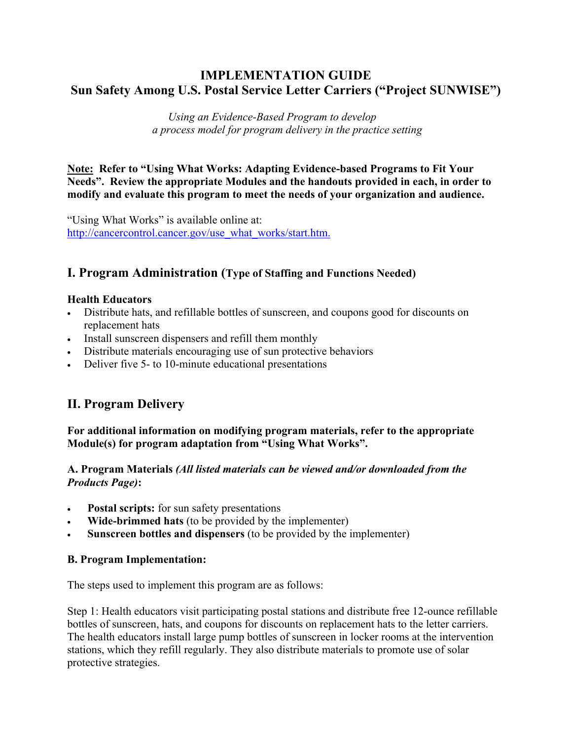## **IMPLEMENTATION GUIDE Sun Safety Among U.S. Postal Service Letter Carriers ("Project SUNWISE")**

*Using an Evidence-Based Program to develop a process model for program delivery in the practice setting*

**Note: Refer to "Using What Works: Adapting Evidence-based Programs to Fit Your Needs". Review the appropriate Modules and the handouts provided in each, in order to modify and evaluate this program to meet the needs of your organization and audience.** 

"Using What Works" is available online at: [http://cancercontrol.cancer.gov/use\\_what\\_works/start.htm.](http://cancercontrol.cancer.gov/use_what_works/start.htm)

### **I. Program Administration (Type of Staffing and Functions Needed)**

#### **Health Educators**

- Distribute hats, and refillable bottles of sunscreen, and coupons good for discounts on replacement hats
- Install sunscreen dispensers and refill them monthly
- Distribute materials encouraging use of sun protective behaviors
- Deliver five 5- to 10-minute educational presentations

### **II. Program Delivery**

**For additional information on modifying program materials, refer to the appropriate Module(s) for program adaptation from "Using What Works".** 

### **A. Program Materials** *(All listed materials can be viewed and/or downloaded from the Products Page)***:**

- **Postal scripts:** for sun safety presentations
- **Wide-brimmed hats** (to be provided by the implementer)
- **Sunscreen bottles and dispensers** (to be provided by the implementer)

### **B. Program Implementation:**

The steps used to implement this program are as follows:

Step 1: Health educators visit participating postal stations and distribute free 12-ounce refillable bottles of sunscreen, hats, and coupons for discounts on replacement hats to the letter carriers. The health educators install large pump bottles of sunscreen in locker rooms at the intervention stations, which they refill regularly. They also distribute materials to promote use of solar protective strategies.